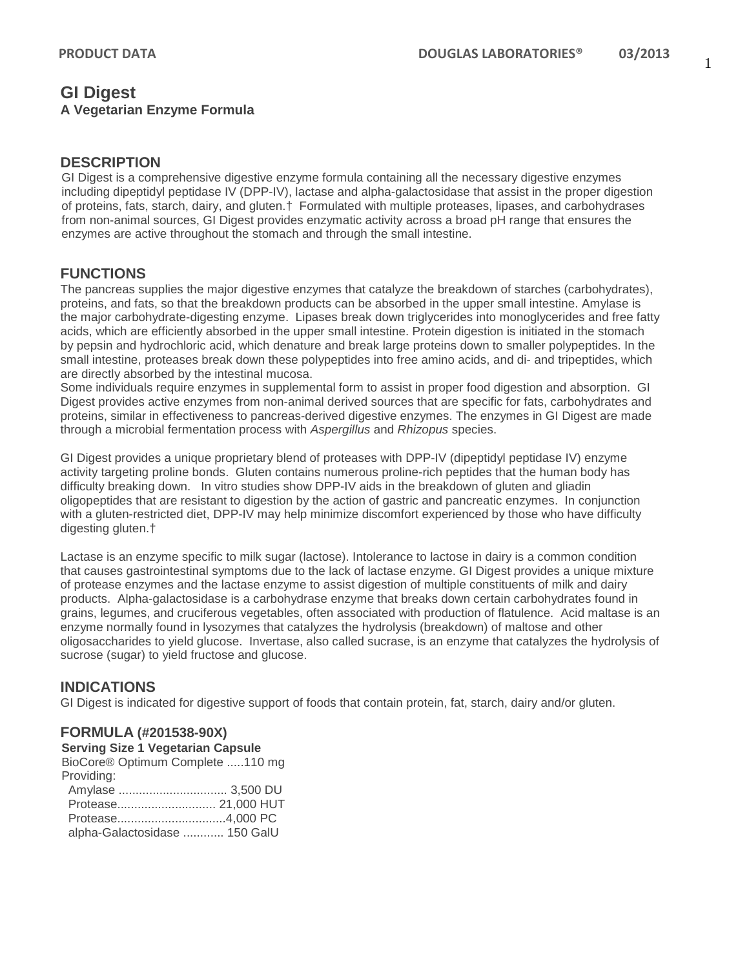# **GI Digest A Vegetarian Enzyme Formula**

### **DESCRIPTION**

GI Digest is a comprehensive digestive enzyme formula containing all the necessary digestive enzymes including dipeptidyl peptidase IV (DPP-IV), lactase and alpha-galactosidase that assist in the proper digestion of proteins, fats, starch, dairy, and gluten.† Formulated with multiple proteases, lipases, and carbohydrases from non-animal sources, GI Digest provides enzymatic activity across a broad pH range that ensures the enzymes are active throughout the stomach and through the small intestine.

# **FUNCTIONS**

The pancreas supplies the major digestive enzymes that catalyze the breakdown of starches (carbohydrates), proteins, and fats, so that the breakdown products can be absorbed in the upper small intestine. Amylase is the major carbohydrate-digesting enzyme. Lipases break down triglycerides into monoglycerides and free fatty acids, which are efficiently absorbed in the upper small intestine. Protein digestion is initiated in the stomach by pepsin and hydrochloric acid, which denature and break large proteins down to smaller polypeptides. In the small intestine, proteases break down these polypeptides into free amino acids, and di- and tripeptides, which are directly absorbed by the intestinal mucosa.

Some individuals require enzymes in supplemental form to assist in proper food digestion and absorption. GI Digest provides active enzymes from non-animal derived sources that are specific for fats, carbohydrates and proteins, similar in effectiveness to pancreas-derived digestive enzymes. The enzymes in GI Digest are made through a microbial fermentation process with *Aspergillus* and *Rhizopus* species.

GI Digest provides a unique proprietary blend of proteases with DPP-IV (dipeptidyl peptidase IV) enzyme activity targeting proline bonds. Gluten contains numerous proline-rich peptides that the human body has difficulty breaking down. In vitro studies show DPP-IV aids in the breakdown of gluten and gliadin oligopeptides that are resistant to digestion by the action of gastric and pancreatic enzymes. In conjunction with a gluten-restricted diet, DPP-IV may help minimize discomfort experienced by those who have difficulty digesting gluten.†

Lactase is an enzyme specific to milk sugar (lactose). Intolerance to lactose in dairy is a common condition that causes gastrointestinal symptoms due to the lack of lactase enzyme. GI Digest provides a unique mixture of protease enzymes and the lactase enzyme to assist digestion of multiple constituents of milk and dairy products. Alpha-galactosidase is a carbohydrase enzyme that breaks down certain carbohydrates found in grains, legumes, and cruciferous vegetables, often associated with production of flatulence. Acid maltase is an enzyme normally found in lysozymes that catalyzes the hydrolysis (breakdown) of maltose and other oligosaccharides to yield glucose. Invertase, also called sucrase, is an enzyme that catalyzes the hydrolysis of sucrose (sugar) to yield fructose and glucose.

# **INDICATIONS**

GI Digest is indicated for digestive support of foods that contain protein, fat, starch, dairy and/or gluten.

#### **FORMULA (#201538-90X)**

**Serving Size 1 Vegetarian Capsule**

BioCore® Optimum Complete .....110 mg Providing: Amylase ................................ 3,500 DU

| alpha-Galactosidase  150 GalU |  |
|-------------------------------|--|